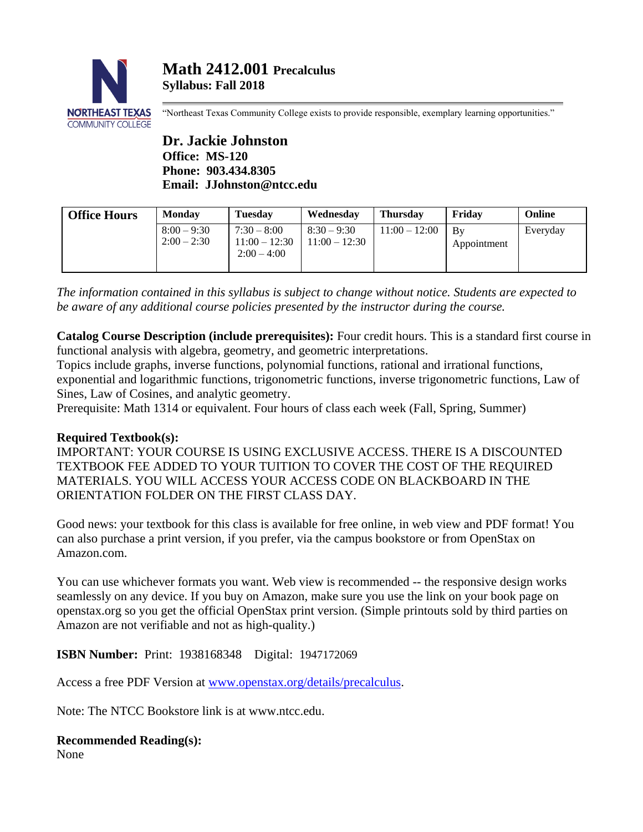

"Northeast Texas Community College exists to provide responsible, exemplary learning opportunities."

**Dr. Jackie Johnston Office: MS-120 Phone: 903.434.8305 Email: [JJohnston@ntcc.edu](mailto:JJohnston@ntcc.edu)**

| <b>Office Hours</b> | <b>Monday</b>                  | <b>Tuesday</b>                                    | Wednesday                        | <b>Thursday</b> | Fridav              | Online   |
|---------------------|--------------------------------|---------------------------------------------------|----------------------------------|-----------------|---------------------|----------|
|                     | $8:00 - 9:30$<br>$2:00 - 2:30$ | $7:30 - 8:00$<br>$11:00 - 12:30$<br>$2:00 - 4:00$ | $8:30 - 9:30$<br>$11:00 - 12:30$ | $11:00 - 12:00$ | - By<br>Appointment | Everyday |

*The information contained in this syllabus is subject to change without notice. Students are expected to be aware of any additional course policies presented by the instructor during the course.*

**Catalog Course Description (include prerequisites):** Four credit hours. This is a standard first course in functional analysis with algebra, geometry, and geometric interpretations.

Topics include graphs, inverse functions, polynomial functions, rational and irrational functions, exponential and logarithmic functions, trigonometric functions, inverse trigonometric functions, Law of Sines, Law of Cosines, and analytic geometry.

Prerequisite: Math 1314 or equivalent. Four hours of class each week (Fall, Spring, Summer)

# **Required Textbook(s):**

IMPORTANT: YOUR COURSE IS USING EXCLUSIVE ACCESS. THERE IS A DISCOUNTED TEXTBOOK FEE ADDED TO YOUR TUITION TO COVER THE COST OF THE REQUIRED MATERIALS. YOU WILL ACCESS YOUR ACCESS CODE ON BLACKBOARD IN THE ORIENTATION FOLDER ON THE FIRST CLASS DAY.

Good news: your textbook for this class is available for free online, in web view and PDF format! You can also purchase a print version, if you prefer, via the campus bookstore or from OpenStax on Amazon.com.

You can use whichever formats you want. Web view is recommended -- the responsive design works seamlessly on any device. If you buy on Amazon, make sure you use the link on your book page on openstax.org so you get the official OpenStax print version. (Simple printouts sold by third parties on Amazon are not verifiable and not as high-quality.)

# **ISBN Number:** Print: 1938168348 Digital: 1947172069

Access a free PDF Version at [www.openstax.org/details/precalculus.](http://www.openstax.org/details/precalculus)

Note: The NTCC Bookstore link is at [www.ntcc.edu.](http://www.ntcc.edu/)

# **Recommended Reading(s):**

None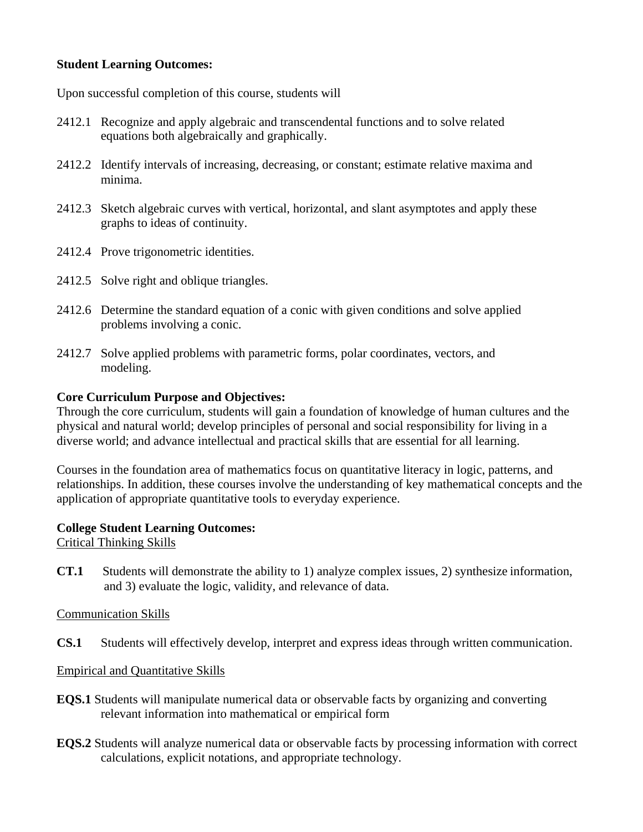# **Student Learning Outcomes:**

Upon successful completion of this course, students will

- 2412.1 Recognize and apply algebraic and transcendental functions and to solve related equations both algebraically and graphically.
- 2412.2 Identify intervals of increasing, decreasing, or constant; estimate relative maxima and minima.
- 2412.3 Sketch algebraic curves with vertical, horizontal, and slant asymptotes and apply these graphs to ideas of continuity.
- 2412.4 Prove trigonometric identities.
- 2412.5 Solve right and oblique triangles.
- 2412.6 Determine the standard equation of a conic with given conditions and solve applied problems involving a conic.
- 2412.7 Solve applied problems with parametric forms, polar coordinates, vectors, and modeling.

### **Core Curriculum Purpose and Objectives:**

Through the core curriculum, students will gain a foundation of knowledge of human cultures and the physical and natural world; develop principles of personal and social responsibility for living in a diverse world; and advance intellectual and practical skills that are essential for all learning.

Courses in the foundation area of mathematics focus on quantitative literacy in logic, patterns, and relationships. In addition, these courses involve the understanding of key mathematical concepts and the application of appropriate quantitative tools to everyday experience.

# **College Student Learning Outcomes:**

Critical Thinking Skills

**CT.1** Students will demonstrate the ability to 1) analyze complex issues, 2) synthesize information, and 3) evaluate the logic, validity, and relevance of data.

Communication Skills

**CS.1** Students will effectively develop, interpret and express ideas through written communication.

#### Empirical and Quantitative Skills

- **EQS.1** Students will manipulate numerical data or observable facts by organizing and converting relevant information into mathematical or empirical form
- **EQS.2** Students will analyze numerical data or observable facts by processing information with correct calculations, explicit notations, and appropriate technology.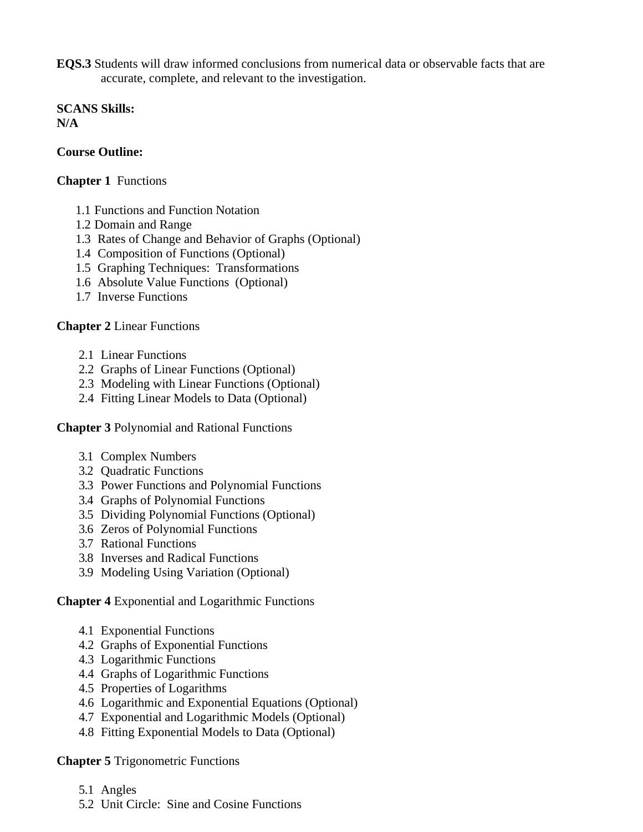**EQS.3** Students will draw informed conclusions from numerical data or observable facts that are accurate, complete, and relevant to the investigation.

**SCANS Skills: N/A**

### **Course Outline:**

### **Chapter 1** Functions

- 1.1 Functions and Function Notation
- 1.2 Domain and Range
- 1.3 Rates of Change and Behavior of Graphs (Optional)
- 1.4 Composition of Functions (Optional)
- 1.5 Graphing Techniques: Transformations
- 1.6 Absolute Value Functions (Optional)
- 1.7 Inverse Functions

### **Chapter 2** Linear Functions

- 2.1 Linear Functions
- 2.2 Graphs of Linear Functions (Optional)
- 2.3 Modeling with Linear Functions (Optional)
- 2.4 Fitting Linear Models to Data (Optional)

#### **Chapter 3** Polynomial and Rational Functions

- 3.1 Complex Numbers
- 3.2 Quadratic Functions
- 3.3 Power Functions and Polynomial Functions
- 3.4 Graphs of Polynomial Functions
- 3.5 Dividing Polynomial Functions (Optional)
- 3.6 Zeros of Polynomial Functions
- 3.7 Rational Functions
- 3.8 Inverses and Radical Functions
- 3.9 Modeling Using Variation (Optional)

#### **Chapter 4** Exponential and Logarithmic Functions

- 4.1 Exponential Functions
- 4.2 Graphs of Exponential Functions
- 4.3 Logarithmic Functions
- 4.4 Graphs of Logarithmic Functions
- 4.5 Properties of Logarithms
- 4.6 Logarithmic and Exponential Equations (Optional)
- 4.7 Exponential and Logarithmic Models (Optional)
- 4.8 Fitting Exponential Models to Data (Optional)

#### **Chapter 5** Trigonometric Functions

- 5.1 Angles
- 5.2 Unit Circle: Sine and Cosine Functions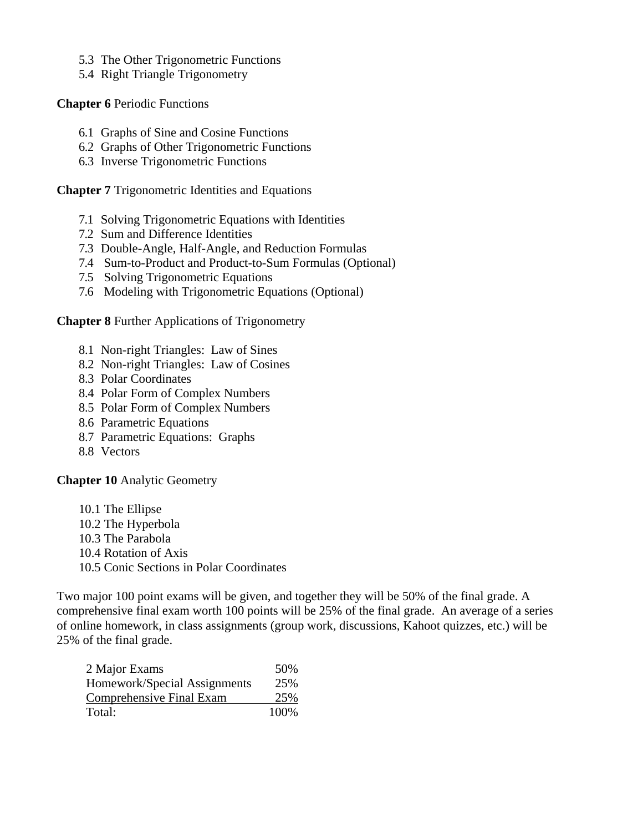- 5.3 The Other Trigonometric Functions
- 5.4 Right Triangle Trigonometry

**Chapter 6** Periodic Functions

- 6.1 Graphs of Sine and Cosine Functions
- 6.2 Graphs of Other Trigonometric Functions
- 6.3 Inverse Trigonometric Functions

**Chapter 7** Trigonometric Identities and Equations

- 7.1 Solving Trigonometric Equations with Identities
- 7.2 Sum and Difference Identities
- 7.3 Double-Angle, Half-Angle, and Reduction Formulas
- 7.4 Sum-to-Product and Product-to-Sum Formulas (Optional)
- 7.5 Solving Trigonometric Equations
- 7.6 Modeling with Trigonometric Equations (Optional)

**Chapter 8** Further Applications of Trigonometry

- 8.1 Non-right Triangles: Law of Sines
- 8.2 Non-right Triangles: Law of Cosines
- 8.3 Polar Coordinates
- 8.4 Polar Form of Complex Numbers
- 8.5 Polar Form of Complex Numbers
- 8.6 Parametric Equations
- 8.7 Parametric Equations: Graphs
- 8.8 Vectors

**Chapter 10** Analytic Geometry

10.1 The Ellipse 10.2 The Hyperbola 10.3 The Parabola 10.4 Rotation of Axis 10.5 Conic Sections in Polar Coordinates

Two major 100 point exams will be given, and together they will be 50% of the final grade. A comprehensive final exam worth 100 points will be 25% of the final grade. An average of a series of online homework, in class assignments (group work, discussions, Kahoot quizzes, etc.) will be 25% of the final grade.

| 2 Major Exams                | 50%  |
|------------------------------|------|
| Homework/Special Assignments | 25%  |
| Comprehensive Final Exam     | 25%  |
| Total:                       | 100% |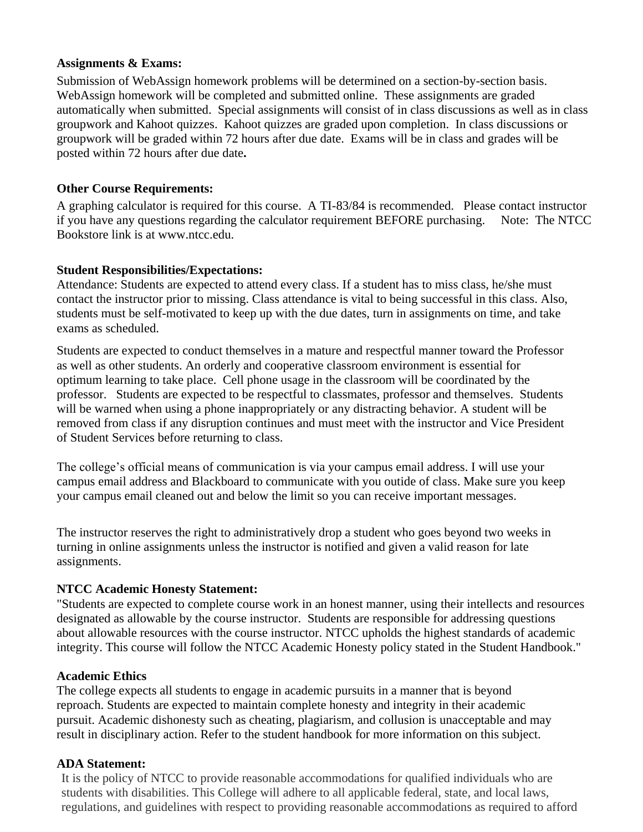#### **Assignments & Exams:**

Submission of WebAssign homework problems will be determined on a section-by-section basis. WebAssign homework will be completed and submitted online. These assignments are graded automatically when submitted. Special assignments will consist of in class discussions as well as in class groupwork and Kahoot quizzes. Kahoot quizzes are graded upon completion. In class discussions or groupwork will be graded within 72 hours after due date. Exams will be in class and grades will be posted within 72 hours after due date**.** 

### **Other Course Requirements:**

A graphing calculator is required for this course. A TI-83/84 is recommended. Please contact instructor if you have any questions regarding the calculator requirement BEFORE purchasing. Note: The NTCC Bookstore link is at www.ntcc.edu.

### **Student Responsibilities/Expectations:**

Attendance: Students are expected to attend every class. If a student has to miss class, he/she must contact the instructor prior to missing. Class attendance is vital to being successful in this class. Also, students must be self-motivated to keep up with the due dates, turn in assignments on time, and take exams as scheduled.

Students are expected to conduct themselves in a mature and respectful manner toward the Professor as well as other students. An orderly and cooperative classroom environment is essential for optimum learning to take place. Cell phone usage in the classroom will be coordinated by the professor. Students are expected to be respectful to classmates, professor and themselves. Students will be warned when using a phone inappropriately or any distracting behavior. A student will be removed from class if any disruption continues and must meet with the instructor and Vice President of Student Services before returning to class.

The college's official means of communication is via your campus email address. I will use your campus email address and Blackboard to communicate with you outide of class. Make sure you keep your campus email cleaned out and below the limit so you can receive important messages.

The instructor reserves the right to administratively drop a student who goes beyond two weeks in turning in online assignments unless the instructor is notified and given a valid reason for late assignments.

# **NTCC Academic Honesty Statement:**

"Students are expected to complete course work in an honest manner, using their intellects and resources designated as allowable by the course instructor. Students are responsible for addressing questions about allowable resources with the course instructor. NTCC upholds the highest standards of academic integrity. This course will follow the NTCC Academic Honesty policy stated in the Student Handbook."

# **Academic Ethics**

The college expects all students to engage in academic pursuits in a manner that is beyond reproach. Students are expected to maintain complete honesty and integrity in their academic pursuit. Academic dishonesty such as cheating, plagiarism, and collusion is unacceptable and may result in disciplinary action. Refer to the student handbook for more information on this subject.

# **ADA Statement:**

It is the policy of NTCC to provide reasonable accommodations for qualified individuals who are students with disabilities. This College will adhere to all applicable federal, state, and local laws, regulations, and guidelines with respect to providing reasonable accommodations as required to afford